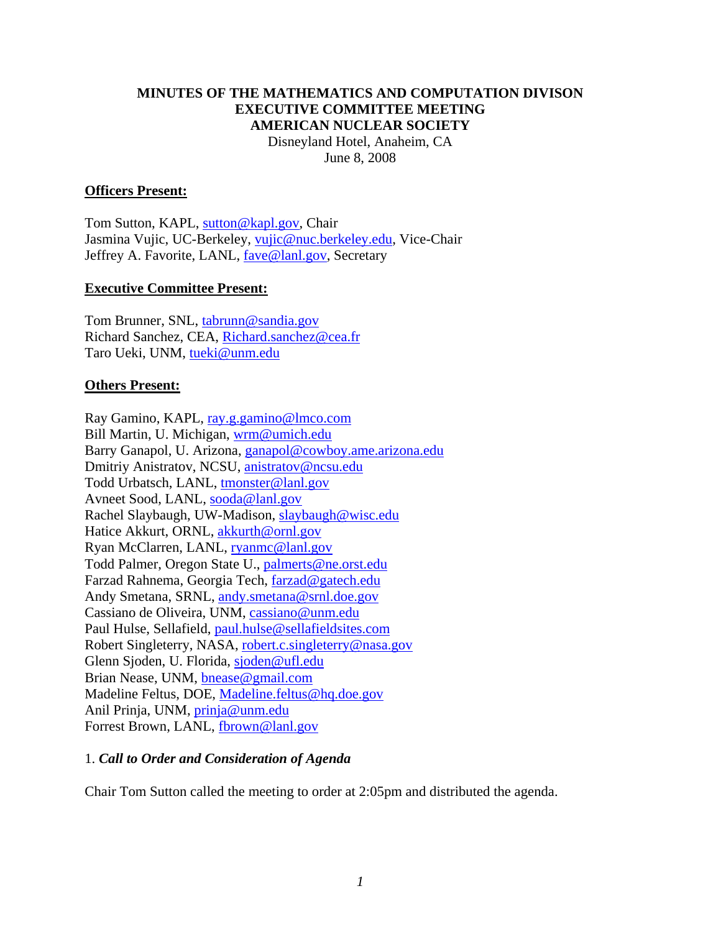#### **MINUTES OF THE MATHEMATICS AND COMPUTATION DIVISON EXECUTIVE COMMITTEE MEETING AMERICAN NUCLEAR SOCIETY**  Disneyland Hotel, Anaheim, CA

June 8, 2008

#### **Officers Present:**

Tom Sutton, KAPL, sutton@kapl.gov, Chair Jasmina Vujic, UC-Berkeley, vujic@nuc.berkeley.edu, Vice-Chair Jeffrey A. Favorite, LANL, fave@lanl.gov, Secretary

#### **Executive Committee Present:**

Tom Brunner, SNL, tabrunn@sandia.gov Richard Sanchez, CEA, Richard.sanchez@cea.fr Taro Ueki, UNM, tueki@unm.edu

#### **Others Present:**

Ray Gamino, KAPL, ray.g.gamino@lmco.com Bill Martin, U. Michigan, wrm@umich.edu Barry Ganapol, U. Arizona, ganapol@cowboy.ame.arizona.edu Dmitriy Anistratov, NCSU, anistratov@ncsu.edu Todd Urbatsch, LANL, tmonster@lanl.gov Avneet Sood, LANL, sooda@lanl.gov Rachel Slaybaugh, UW-Madison, slaybaugh@wisc.edu Hatice Akkurt, ORNL, akkurth@ornl.gov Ryan McClarren, LANL, ryanmc@lanl.gov Todd Palmer, Oregon State U., palmerts@ne.orst.edu Farzad Rahnema, Georgia Tech, farzad@gatech.edu Andy Smetana, SRNL, andy.smetana@srnl.doe.gov Cassiano de Oliveira, UNM, cassiano@unm.edu Paul Hulse, Sellafield, paul.hulse@sellafieldsites.com Robert Singleterry, NASA, robert.c.singleterry@nasa.gov Glenn Sjoden, U. Florida, sjoden@ufl.edu Brian Nease, UNM, bnease@gmail.com Madeline Feltus, DOE, Madeline.feltus@hq.doe.gov Anil Prinja, UNM, prinja@unm.edu Forrest Brown, LANL, fbrown@lanl.gov

# 1. *Call to Order and Consideration of Agenda*

Chair Tom Sutton called the meeting to order at 2:05pm and distributed the agenda.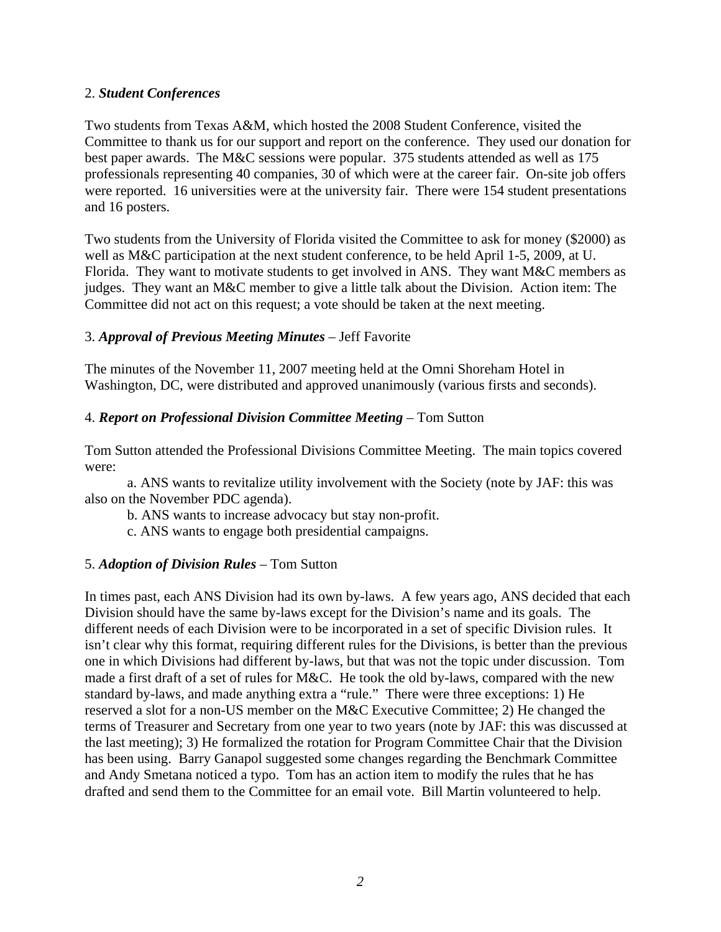#### 2. *Student Conferences*

Two students from Texas A&M, which hosted the 2008 Student Conference, visited the Committee to thank us for our support and report on the conference. They used our donation for best paper awards. The M&C sessions were popular. 375 students attended as well as 175 professionals representing 40 companies, 30 of which were at the career fair. On-site job offers were reported. 16 universities were at the university fair. There were 154 student presentations and 16 posters.

Two students from the University of Florida visited the Committee to ask for money (\$2000) as well as M&C participation at the next student conference, to be held April 1-5, 2009, at U. Florida. They want to motivate students to get involved in ANS. They want M&C members as judges. They want an M&C member to give a little talk about the Division. Action item: The Committee did not act on this request; a vote should be taken at the next meeting.

# 3. *Approval of Previous Meeting Minutes* – Jeff Favorite

The minutes of the November 11, 2007 meeting held at the Omni Shoreham Hotel in Washington, DC, were distributed and approved unanimously (various firsts and seconds).

#### 4. *Report on Professional Division Committee Meeting* – Tom Sutton

Tom Sutton attended the Professional Divisions Committee Meeting. The main topics covered were:

 a. ANS wants to revitalize utility involvement with the Society (note by JAF: this was also on the November PDC agenda).

b. ANS wants to increase advocacy but stay non-profit.

c. ANS wants to engage both presidential campaigns.

# 5. *Adoption of Division Rules* – Tom Sutton

In times past, each ANS Division had its own by-laws. A few years ago, ANS decided that each Division should have the same by-laws except for the Division's name and its goals. The different needs of each Division were to be incorporated in a set of specific Division rules. It isn't clear why this format, requiring different rules for the Divisions, is better than the previous one in which Divisions had different by-laws, but that was not the topic under discussion. Tom made a first draft of a set of rules for M&C. He took the old by-laws, compared with the new standard by-laws, and made anything extra a "rule." There were three exceptions: 1) He reserved a slot for a non-US member on the M&C Executive Committee; 2) He changed the terms of Treasurer and Secretary from one year to two years (note by JAF: this was discussed at the last meeting); 3) He formalized the rotation for Program Committee Chair that the Division has been using. Barry Ganapol suggested some changes regarding the Benchmark Committee and Andy Smetana noticed a typo. Tom has an action item to modify the rules that he has drafted and send them to the Committee for an email vote. Bill Martin volunteered to help.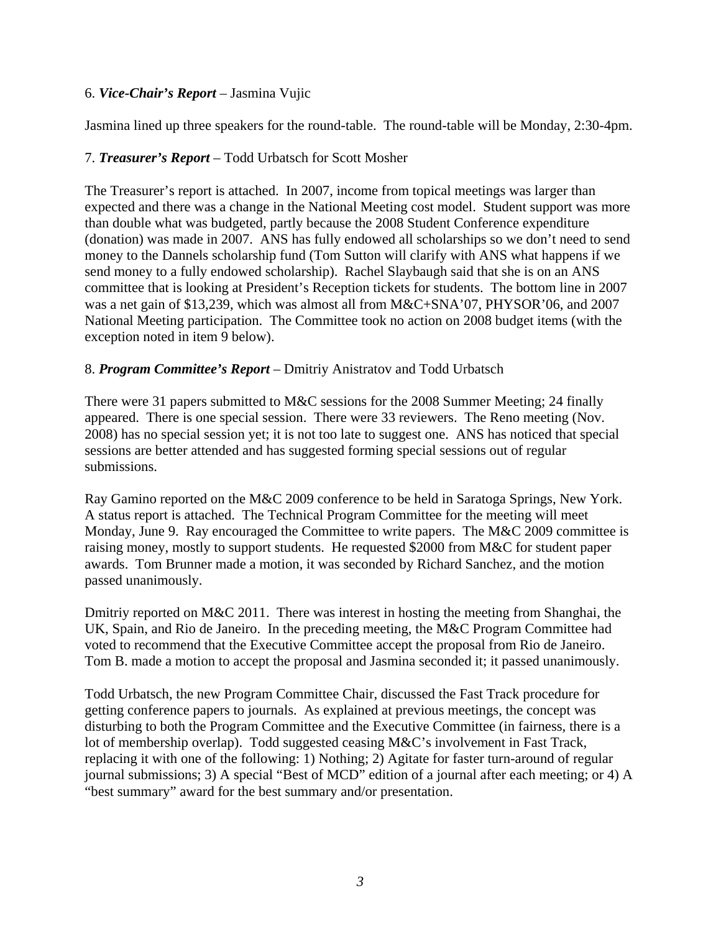# 6. *Vice-Chair's Report* – Jasmina Vujic

Jasmina lined up three speakers for the round-table. The round-table will be Monday, 2:30-4pm.

# 7. *Treasurer's Report* – Todd Urbatsch for Scott Mosher

The Treasurer's report is attached. In 2007, income from topical meetings was larger than expected and there was a change in the National Meeting cost model. Student support was more than double what was budgeted, partly because the 2008 Student Conference expenditure (donation) was made in 2007. ANS has fully endowed all scholarships so we don't need to send money to the Dannels scholarship fund (Tom Sutton will clarify with ANS what happens if we send money to a fully endowed scholarship). Rachel Slaybaugh said that she is on an ANS committee that is looking at President's Reception tickets for students. The bottom line in 2007 was a net gain of \$13,239, which was almost all from M&C+SNA'07, PHYSOR'06, and 2007 National Meeting participation. The Committee took no action on 2008 budget items (with the exception noted in item 9 below).

# 8. *Program Committee's Report* – Dmitriy Anistratov and Todd Urbatsch

There were 31 papers submitted to M&C sessions for the 2008 Summer Meeting; 24 finally appeared. There is one special session. There were 33 reviewers. The Reno meeting (Nov. 2008) has no special session yet; it is not too late to suggest one. ANS has noticed that special sessions are better attended and has suggested forming special sessions out of regular submissions.

Ray Gamino reported on the M&C 2009 conference to be held in Saratoga Springs, New York. A status report is attached. The Technical Program Committee for the meeting will meet Monday, June 9. Ray encouraged the Committee to write papers. The M&C 2009 committee is raising money, mostly to support students. He requested \$2000 from M&C for student paper awards. Tom Brunner made a motion, it was seconded by Richard Sanchez, and the motion passed unanimously.

Dmitriy reported on M&C 2011. There was interest in hosting the meeting from Shanghai, the UK, Spain, and Rio de Janeiro. In the preceding meeting, the M&C Program Committee had voted to recommend that the Executive Committee accept the proposal from Rio de Janeiro. Tom B. made a motion to accept the proposal and Jasmina seconded it; it passed unanimously.

Todd Urbatsch, the new Program Committee Chair, discussed the Fast Track procedure for getting conference papers to journals. As explained at previous meetings, the concept was disturbing to both the Program Committee and the Executive Committee (in fairness, there is a lot of membership overlap). Todd suggested ceasing M&C's involvement in Fast Track, replacing it with one of the following: 1) Nothing; 2) Agitate for faster turn-around of regular journal submissions; 3) A special "Best of MCD" edition of a journal after each meeting; or 4) A "best summary" award for the best summary and/or presentation.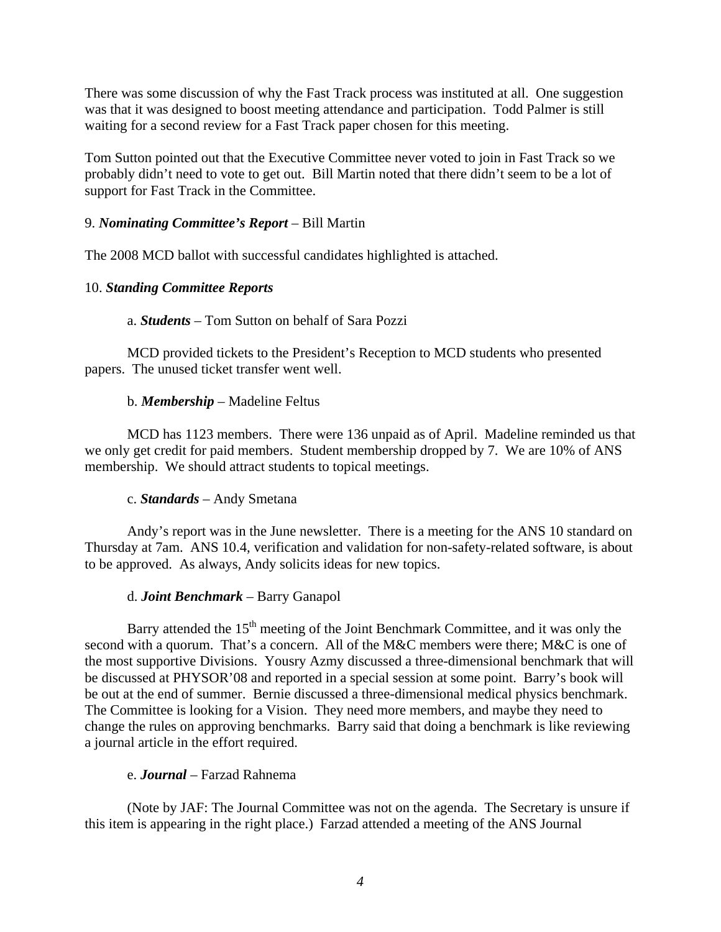There was some discussion of why the Fast Track process was instituted at all. One suggestion was that it was designed to boost meeting attendance and participation. Todd Palmer is still waiting for a second review for a Fast Track paper chosen for this meeting.

Tom Sutton pointed out that the Executive Committee never voted to join in Fast Track so we probably didn't need to vote to get out. Bill Martin noted that there didn't seem to be a lot of support for Fast Track in the Committee.

#### 9. *Nominating Committee's Report* – Bill Martin

The 2008 MCD ballot with successful candidates highlighted is attached.

#### 10. *Standing Committee Reports*

#### a. *Students* – Tom Sutton on behalf of Sara Pozzi

 MCD provided tickets to the President's Reception to MCD students who presented papers. The unused ticket transfer went well.

#### b. *Membership* – Madeline Feltus

 MCD has 1123 members. There were 136 unpaid as of April. Madeline reminded us that we only get credit for paid members. Student membership dropped by 7. We are 10% of ANS membership. We should attract students to topical meetings.

#### c. *Standards* – Andy Smetana

 Andy's report was in the June newsletter. There is a meeting for the ANS 10 standard on Thursday at 7am. ANS 10.4, verification and validation for non-safety-related software, is about to be approved. As always, Andy solicits ideas for new topics.

#### d. *Joint Benchmark* – Barry Ganapol

Barry attended the  $15<sup>th</sup>$  meeting of the Joint Benchmark Committee, and it was only the second with a quorum. That's a concern. All of the M&C members were there; M&C is one of the most supportive Divisions. Yousry Azmy discussed a three-dimensional benchmark that will be discussed at PHYSOR'08 and reported in a special session at some point. Barry's book will be out at the end of summer. Bernie discussed a three-dimensional medical physics benchmark. The Committee is looking for a Vision. They need more members, and maybe they need to change the rules on approving benchmarks. Barry said that doing a benchmark is like reviewing a journal article in the effort required.

#### e. *Journal* – Farzad Rahnema

 (Note by JAF: The Journal Committee was not on the agenda. The Secretary is unsure if this item is appearing in the right place.) Farzad attended a meeting of the ANS Journal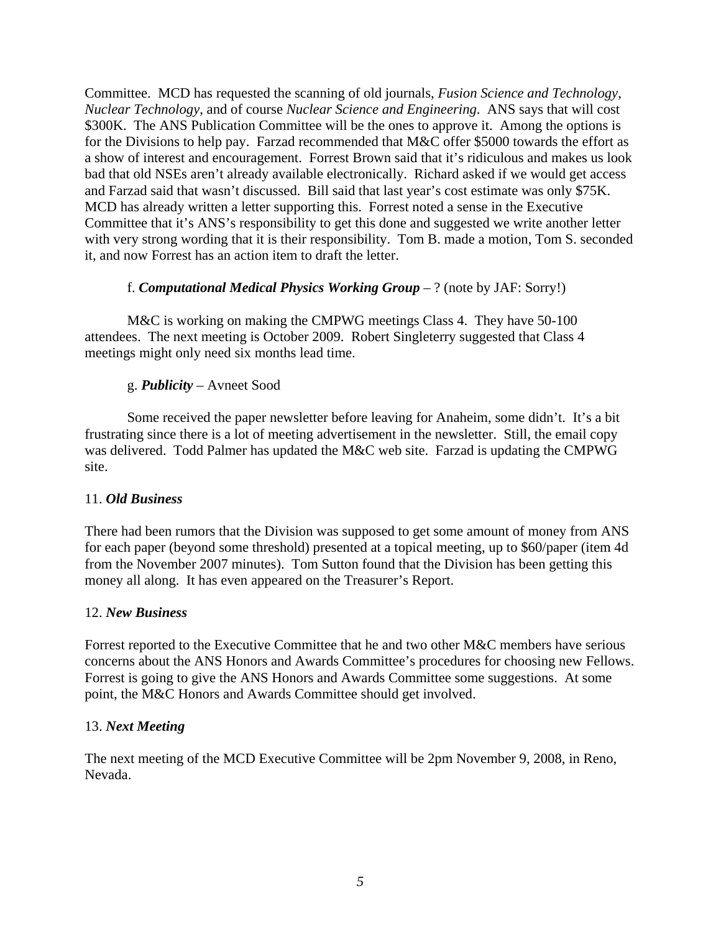Committee. MCD has requested the scanning of old journals, *Fusion Science and Technology*, *Nuclear Technology*, and of course *Nuclear Science and Engineering*. ANS says that will cost \$300K. The ANS Publication Committee will be the ones to approve it. Among the options is for the Divisions to help pay. Farzad recommended that M&C offer \$5000 towards the effort as a show of interest and encouragement. Forrest Brown said that it's ridiculous and makes us look bad that old NSEs aren't already available electronically. Richard asked if we would get access and Farzad said that wasn't discussed. Bill said that last year's cost estimate was only \$75K. MCD has already written a letter supporting this. Forrest noted a sense in the Executive Committee that it's ANS's responsibility to get this done and suggested we write another letter with very strong wording that it is their responsibility. Tom B. made a motion, Tom S. seconded it, and now Forrest has an action item to draft the letter.

#### f. *Computational Medical Physics Working Group* – ? (note by JAF: Sorry!)

M&C is working on making the CMPWG meetings Class 4. They have 50-100 attendees. The next meeting is October 2009. Robert Singleterry suggested that Class 4 meetings might only need six months lead time.

#### g. *Publicity* – Avneet Sood

 Some received the paper newsletter before leaving for Anaheim, some didn't. It's a bit frustrating since there is a lot of meeting advertisement in the newsletter. Still, the email copy was delivered. Todd Palmer has updated the M&C web site. Farzad is updating the CMPWG site.

#### 11. *Old Business*

There had been rumors that the Division was supposed to get some amount of money from ANS for each paper (beyond some threshold) presented at a topical meeting, up to \$60/paper (item 4d from the November 2007 minutes). Tom Sutton found that the Division has been getting this money all along. It has even appeared on the Treasurer's Report.

#### 12. *New Business*

Forrest reported to the Executive Committee that he and two other M&C members have serious concerns about the ANS Honors and Awards Committee's procedures for choosing new Fellows. Forrest is going to give the ANS Honors and Awards Committee some suggestions. At some point, the M&C Honors and Awards Committee should get involved.

#### 13. *Next Meeting*

The next meeting of the MCD Executive Committee will be 2pm November 9, 2008, in Reno, Nevada.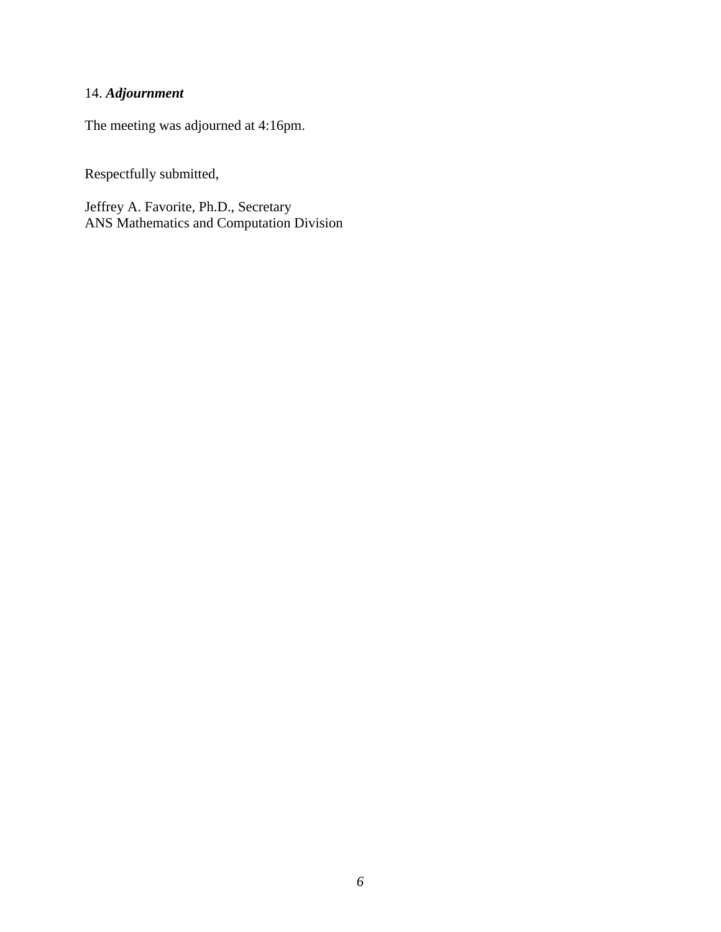# 14. *Adjournment*

The meeting was adjourned at 4:16pm.

Respectfully submitted,

Jeffrey A. Favorite, Ph.D., Secretary ANS Mathematics and Computation Division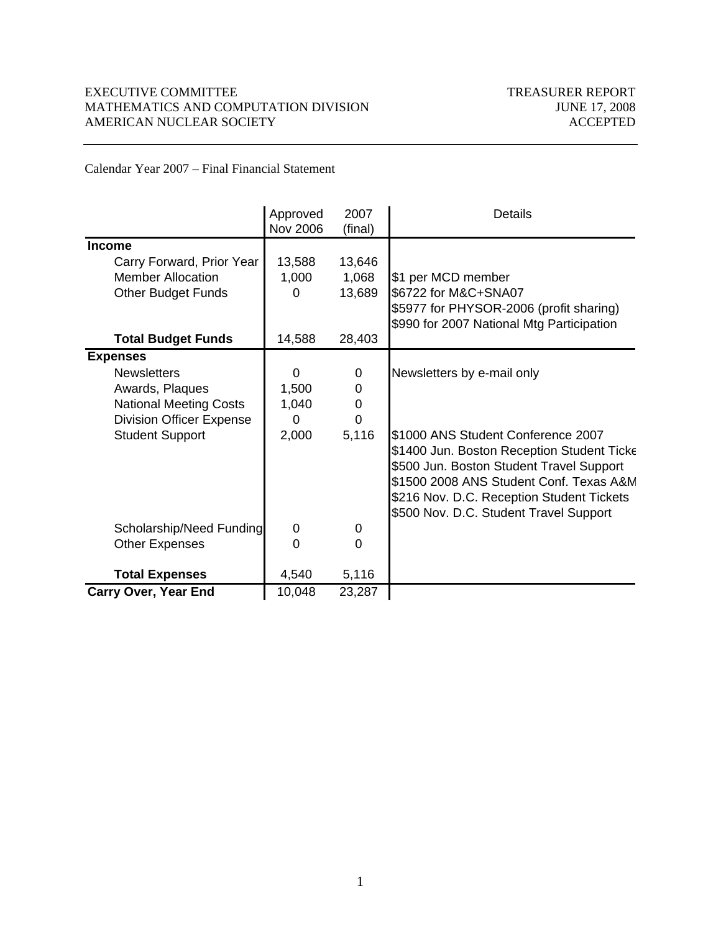#### EXECUTIVE COMMITTEE TREASURER REPORT MATHEMATICS AND COMPUTATION DIVISION JUNE 17, 2008 AMERICAN NUCLEAR SOCIETY ACCEPTED

Calendar Year 2007 – Final Financial Statement

|                                 | Approved<br><b>Nov 2006</b> | 2007<br>(final) | Details                                                                                                                                                                                                                                                       |
|---------------------------------|-----------------------------|-----------------|---------------------------------------------------------------------------------------------------------------------------------------------------------------------------------------------------------------------------------------------------------------|
| <b>Income</b>                   |                             |                 |                                                                                                                                                                                                                                                               |
| Carry Forward, Prior Year       | 13,588                      | 13,646          |                                                                                                                                                                                                                                                               |
| <b>Member Allocation</b>        | 1,000                       | 1,068           | \$1 per MCD member                                                                                                                                                                                                                                            |
| Other Budget Funds              | $\Omega$                    | 13,689          | \$6722 for M&C+SNA07                                                                                                                                                                                                                                          |
|                                 |                             |                 | \$5977 for PHYSOR-2006 (profit sharing)<br>\$990 for 2007 National Mtg Participation                                                                                                                                                                          |
| <b>Total Budget Funds</b>       | 14,588                      | 28,403          |                                                                                                                                                                                                                                                               |
| <b>Expenses</b>                 |                             |                 |                                                                                                                                                                                                                                                               |
| <b>Newsletters</b>              | 0                           | 0               | Newsletters by e-mail only                                                                                                                                                                                                                                    |
| Awards, Plaques                 | 1,500                       | 0               |                                                                                                                                                                                                                                                               |
| <b>National Meeting Costs</b>   | 1,040                       | 0               |                                                                                                                                                                                                                                                               |
| <b>Division Officer Expense</b> | 0                           | $\overline{0}$  |                                                                                                                                                                                                                                                               |
| <b>Student Support</b>          | 2,000                       | 5,116           | S1000 ANS Student Conference 2007<br>\$1400 Jun. Boston Reception Student Ticke<br>\$500 Jun. Boston Student Travel Support<br>\$1500 2008 ANS Student Conf. Texas A&M<br>\$216 Nov. D.C. Reception Student Tickets<br>\$500 Nov. D.C. Student Travel Support |
| Scholarship/Need Funding        | 0                           | 0               |                                                                                                                                                                                                                                                               |
| <b>Other Expenses</b>           | $\Omega$                    | $\overline{0}$  |                                                                                                                                                                                                                                                               |
| <b>Total Expenses</b>           | 4,540                       | 5,116           |                                                                                                                                                                                                                                                               |
| <b>Carry Over, Year End</b>     | 10,048                      | 23,287          |                                                                                                                                                                                                                                                               |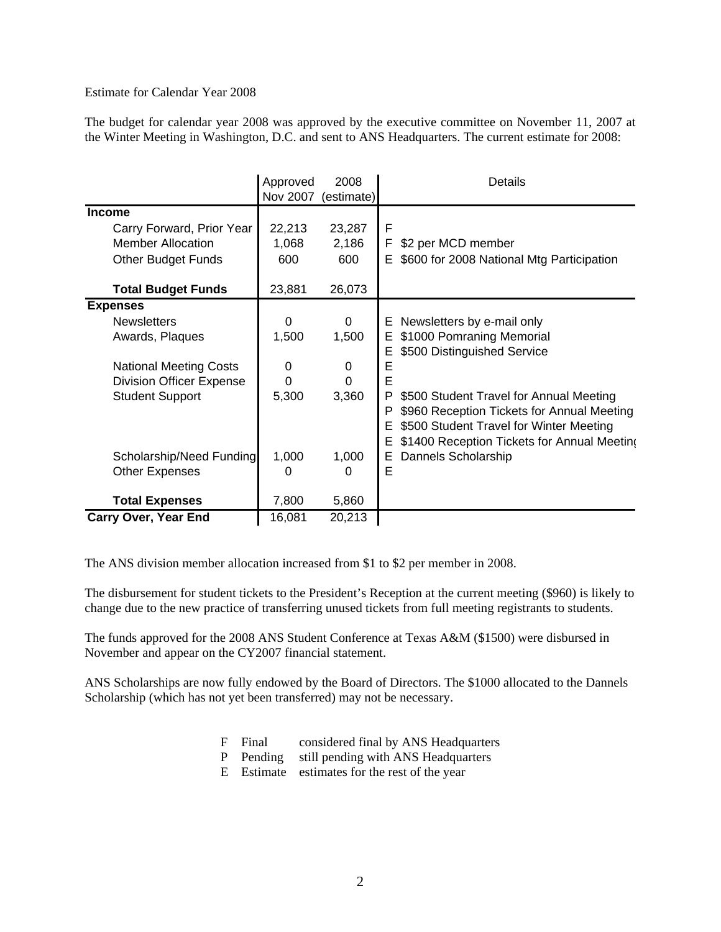Estimate for Calendar Year 2008

The budget for calendar year 2008 was approved by the executive committee on November 11, 2007 at the Winter Meeting in Washington, D.C. and sent to ANS Headquarters. The current estimate for 2008:

|                                 | Approved | 2008       | Details                                          |  |  |
|---------------------------------|----------|------------|--------------------------------------------------|--|--|
|                                 | Nov 2007 | (estimate) |                                                  |  |  |
| <b>Income</b>                   |          |            |                                                  |  |  |
| Carry Forward, Prior Year       | 22,213   | 23,287     | F                                                |  |  |
| <b>Member Allocation</b>        | 1,068    | 2,186      | F.<br>\$2 per MCD member                         |  |  |
| <b>Other Budget Funds</b>       | 600      | 600        | \$600 for 2008 National Mtg Participation<br>E.  |  |  |
| <b>Total Budget Funds</b>       | 23,881   | 26,073     |                                                  |  |  |
| <b>Expenses</b>                 |          |            |                                                  |  |  |
| <b>Newsletters</b>              | 0        | 0          | E Newsletters by e-mail only                     |  |  |
| Awards, Plaques                 | 1,500    | 1,500      | \$1000 Pomraning Memorial<br>Е.                  |  |  |
|                                 |          |            | \$500 Distinguished Service<br>Е                 |  |  |
| <b>National Meeting Costs</b>   | $\Omega$ | 0          | E                                                |  |  |
| <b>Division Officer Expense</b> | 0        | $\Omega$   | E                                                |  |  |
| <b>Student Support</b>          | 5,300    | 3,360      | P<br>\$500 Student Travel for Annual Meeting     |  |  |
|                                 |          |            | \$960 Reception Tickets for Annual Meeting<br>P  |  |  |
|                                 |          |            | \$500 Student Travel for Winter Meeting<br>Е     |  |  |
|                                 |          |            | \$1400 Reception Tickets for Annual Meeting<br>Е |  |  |
| Scholarship/Need Funding        | 1,000    | 1,000      | Dannels Scholarship<br>Е                         |  |  |
| <b>Other Expenses</b>           | 0        | 0          | Е                                                |  |  |
|                                 |          |            |                                                  |  |  |
| <b>Total Expenses</b>           | 7,800    | 5,860      |                                                  |  |  |
| <b>Carry Over, Year End</b>     | 16,081   | 20,213     |                                                  |  |  |

The ANS division member allocation increased from \$1 to \$2 per member in 2008.

The disbursement for student tickets to the President's Reception at the current meeting (\$960) is likely to change due to the new practice of transferring unused tickets from full meeting registrants to students.

The funds approved for the 2008 ANS Student Conference at Texas A&M (\$1500) were disbursed in November and appear on the CY2007 financial statement.

ANS Scholarships are now fully endowed by the Board of Directors. The \$1000 allocated to the Dannels Scholarship (which has not yet been transferred) may not be necessary.

- F Final considered final by ANS Headquarters
- P Pending still pending with ANS Headquarters
- E Estimate estimates for the rest of the year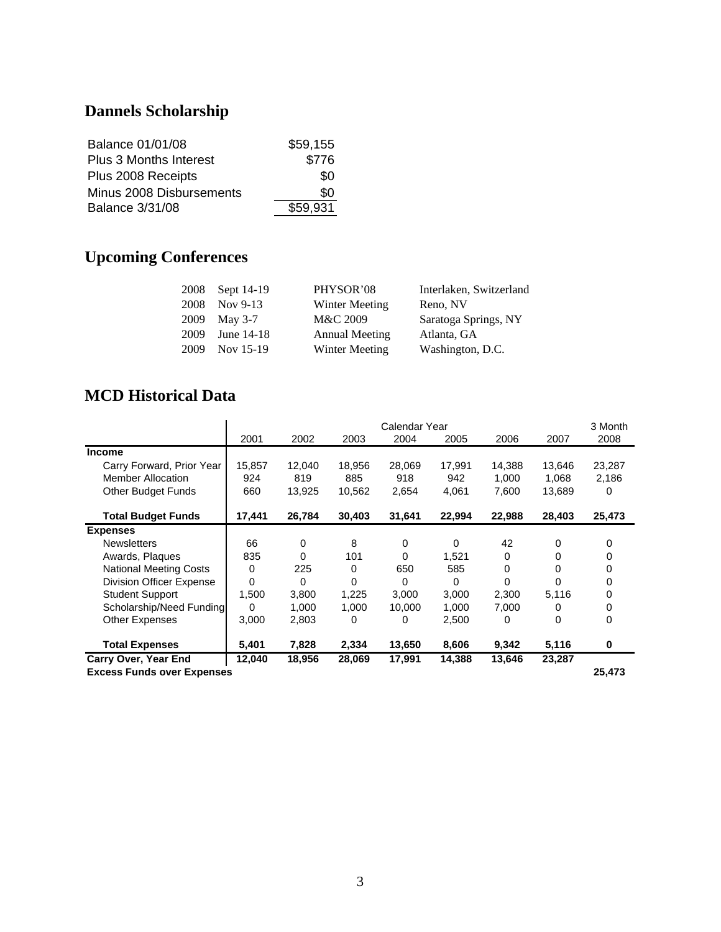# **Dannels Scholarship**

| <b>Balance 01/01/08</b>       | \$59,155 |
|-------------------------------|----------|
| <b>Plus 3 Months Interest</b> | \$776    |
| Plus 2008 Receipts            | \$O      |
| Minus 2008 Disbursements      | \$0      |
| <b>Balance 3/31/08</b>        | \$59.931 |

# **Upcoming Conferences**

|      | 2008 Sept 14-19 | PHYSOR'08             | Interlaken, Switzerland |
|------|-----------------|-----------------------|-------------------------|
| 2008 | Nov $9-13$      | Winter Meeting        | Reno, NV                |
|      | 2009 May 3-7    | M&C 2009              | Saratoga Springs, NY    |
| 2009 | June 14-18      | <b>Annual Meeting</b> | Atlanta, GA             |
| 2009 | Nov 15-19       | <b>Winter Meeting</b> | Washington, D.C.        |

# **MCD Historical Data**

|                                   | Calendar Year |        |        |        |          |          | 3 Month |        |
|-----------------------------------|---------------|--------|--------|--------|----------|----------|---------|--------|
|                                   | 2001          | 2002   | 2003   | 2004   | 2005     | 2006     | 2007    | 2008   |
| <b>Income</b>                     |               |        |        |        |          |          |         |        |
| Carry Forward, Prior Year         | 15,857        | 12,040 | 18,956 | 28,069 | 17,991   | 14,388   | 13,646  | 23,287 |
| <b>Member Allocation</b>          | 924           | 819    | 885    | 918    | 942      | 1,000    | 1,068   | 2,186  |
| <b>Other Budget Funds</b>         | 660           | 13,925 | 10,562 | 2,654  | 4,061    | 7,600    | 13,689  | 0      |
| <b>Total Budget Funds</b>         | 17,441        | 26,784 | 30,403 | 31,641 | 22,994   | 22,988   | 28,403  | 25,473 |
| <b>Expenses</b>                   |               |        |        |        |          |          |         |        |
| <b>Newsletters</b>                | 66            | 0      | 8      | 0      | 0        | 42       | 0       | 0      |
| Awards, Plaques                   | 835           | 0      | 101    | 0      | 1,521    | 0        | 0       | 0      |
| <b>National Meeting Costs</b>     | 0             | 225    | 0      | 650    | 585      | $\Omega$ | 0       | 0      |
| Division Officer Expense          | 0             | 0      | 0      | 0      | $\Omega$ | $\Omega$ | 0       | 0      |
| <b>Student Support</b>            | 1,500         | 3,800  | 1,225  | 3,000  | 3,000    | 2,300    | 5,116   | 0      |
| Scholarship/Need Funding          | 0             | 1,000  | 1,000  | 10,000 | 1,000    | 7,000    | 0       | 0      |
| Other Expenses                    | 3,000         | 2,803  | 0      | 0      | 2,500    | 0        | 0       | 0      |
| <b>Total Expenses</b>             | 5,401         | 7,828  | 2,334  | 13,650 | 8,606    | 9,342    | 5,116   | 0      |
| <b>Carry Over, Year End</b>       | 12,040        | 18,956 | 28,069 | 17,991 | 14,388   | 13,646   | 23,287  |        |
| <b>Excess Funds over Expenses</b> |               |        |        |        |          |          |         | 25,473 |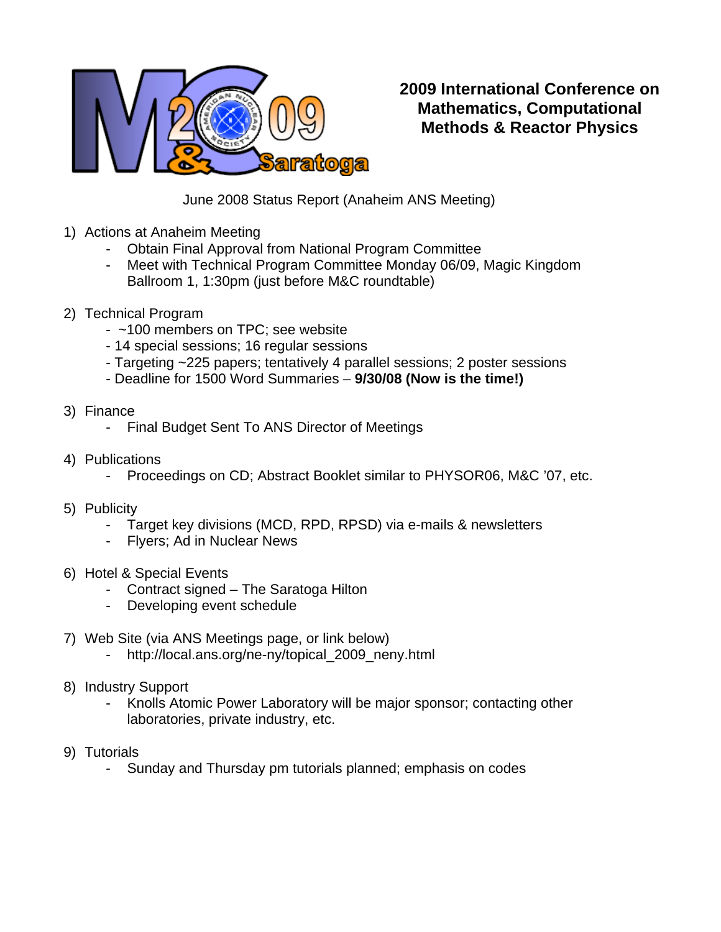

**2009 International Conference on Mathematics, Computational Methods & Reactor Physics** 

June 2008 Status Report (Anaheim ANS Meeting)

- 1) Actions at Anaheim Meeting
	- Obtain Final Approval from National Program Committee
	- Meet with Technical Program Committee Monday 06/09, Magic Kingdom Ballroom 1, 1:30pm (just before M&C roundtable)
- 2) Technical Program
	- ~100 members on TPC; see website
	- 14 special sessions; 16 regular sessions
	- Targeting ~225 papers; tentatively 4 parallel sessions; 2 poster sessions
	- Deadline for 1500 Word Summaries **9/30/08 (Now is the time!)**
- 3) Finance
	- Final Budget Sent To ANS Director of Meetings
- 4) Publications
	- Proceedings on CD; Abstract Booklet similar to PHYSOR06, M&C '07, etc.
- 5) Publicity
	- Target key divisions (MCD, RPD, RPSD) via e-mails & newsletters
	- Flyers; Ad in Nuclear News
- 6) Hotel & Special Events
	- Contract signed The Saratoga Hilton
	- Developing event schedule
- 7) Web Site (via ANS Meetings page, or link below)
	- http://local.ans.org/ne-ny/topical\_2009\_neny.html
- 8) Industry Support
	- Knolls Atomic Power Laboratory will be major sponsor; contacting other laboratories, private industry, etc.
- 9) Tutorials
	- Sunday and Thursday pm tutorials planned; emphasis on codes